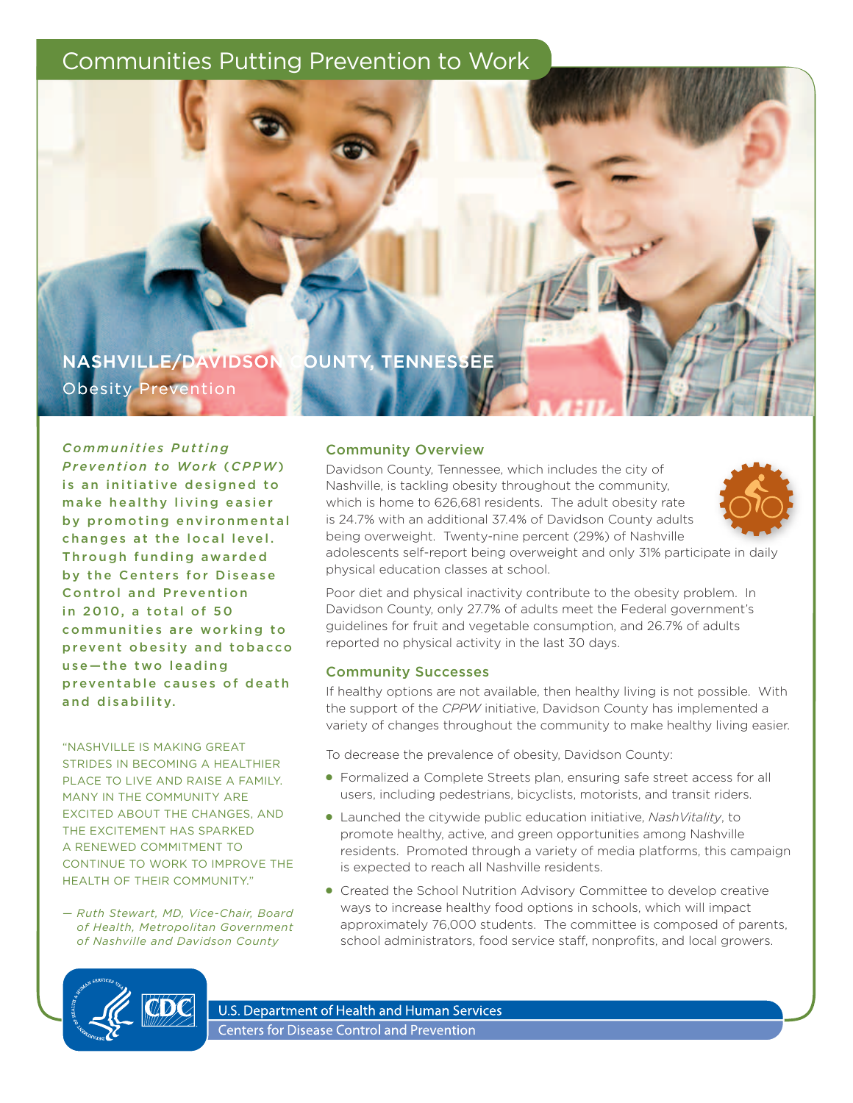# Communities Putting Prevention to Work

nashville/davidson county, tennessee Obesity Prevention

*Co m m u n i t i e s P u t t i n g Prevention to Work* ( *CPPW*) is an initiative designed to

make healthy living easier by promoting environmental changes at the local level. Through funding awarded by the Centers for Disease **Control and Prevention** in 2010, a total of 50 communities are working to prevent obesity and tobacco use-the two leading preventable causes of death and disability.

"Nashville is makiNg great strides iN beCOmiNg a healthier PLACE TO LIVE AND RAISE A FAMILY. MANY IN THE COMMUNITY ARE exCited abOut the ChaNges, aNd THE EXCITEMENT HAS SPARKED A RENEWED COMMITMENT TO CONTINUE TO WORK TO IMPROVE THE HEALTH OF THEIR COMMUNITY."

*— Ruth Stewart, MD, Vice-Chair, Board of Health, Metropolitan Government of Nashville and Davidson County*

## **Community Overview**

Davidson County, Tennessee, which includes the city of Nashville, is tackling obesity throughout the community, which is home to 626,681 residents. The adult obesity rate is 24.7% with an additional 37.4% of Davidson County adults being overweight. Twenty-nine percent (29%) of Nashville



adolescents self-report being overweight and only 31% participate in daily physical education classes at school.

Poor diet and physical inactivity contribute to the obesity problem. In Davidson County, only 27.7% of adults meet the Federal government's guidelines for fruit and vegetable consumption, and 26.7% of adults reported no physical activity in the last 30 days.

#### community successes

If healthy options are not available, then healthy living is not possible. With the support of the *CPPW* initiative, Davidson County has implemented a variety of changes throughout the community to make healthy living easier.

To decrease the prevalence of obesity, Davidson County:

- Formalized a Complete Streets plan, ensuring safe street access for all users, including pedestrians, bicyclists, motorists, and transit riders.
- Launched the citywide public education initiative, *NashVitality*, to promote healthy, active, and green opportunities among Nashville residents. Promoted through a variety of media platforms, this campaign is expected to reach all Nashville residents.
- Created the School Nutrition Advisory Committee to develop creative ways to increase healthy food options in schools, which will impact approximately 76,000 students. The committee is composed of parents, school administrators, food service staff, nonprofits, and local growers.



U.S. Department of Health and Human Services **Centers for Disease Control and Prevention**